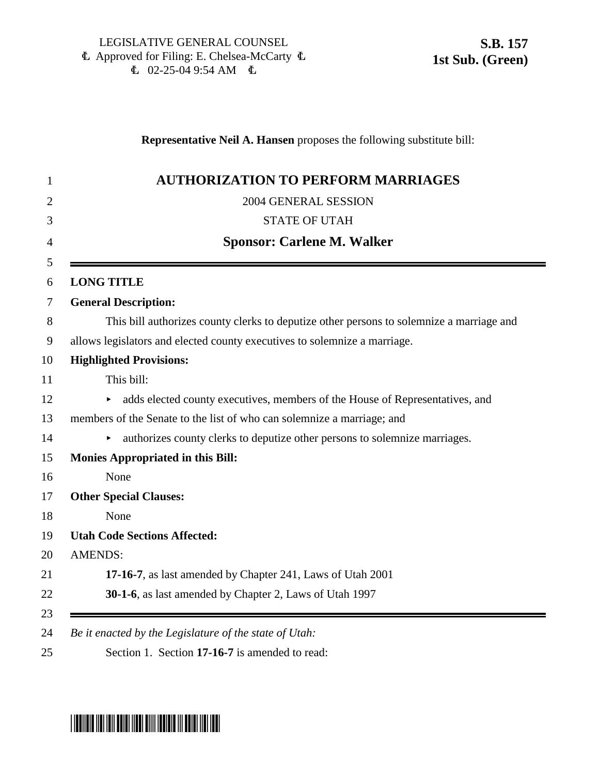## **Representative Neil A. Hansen** proposes the following substitute bill:

| <b>AUTHORIZATION TO PERFORM MARRIAGES</b>                                                |
|------------------------------------------------------------------------------------------|
| 2004 GENERAL SESSION                                                                     |
| <b>STATE OF UTAH</b>                                                                     |
| <b>Sponsor: Carlene M. Walker</b>                                                        |
| <b>LONG TITLE</b>                                                                        |
| <b>General Description:</b>                                                              |
| This bill authorizes county clerks to deputize other persons to solemnize a marriage and |
| allows legislators and elected county executives to solemnize a marriage.                |
| <b>Highlighted Provisions:</b>                                                           |
| This bill:                                                                               |
| adds elected county executives, members of the House of Representatives, and             |
| members of the Senate to the list of who can solemnize a marriage; and                   |
| authorizes county clerks to deputize other persons to solemnize marriages.               |
| <b>Monies Appropriated in this Bill:</b>                                                 |
| None                                                                                     |
| <b>Other Special Clauses:</b>                                                            |
| None                                                                                     |
| <b>Utah Code Sections Affected:</b>                                                      |
| <b>AMENDS:</b>                                                                           |
| 17-16-7, as last amended by Chapter 241, Laws of Utah 2001                               |
| 30-1-6, as last amended by Chapter 2, Laws of Utah 1997                                  |
|                                                                                          |

## \*SB0157S01\*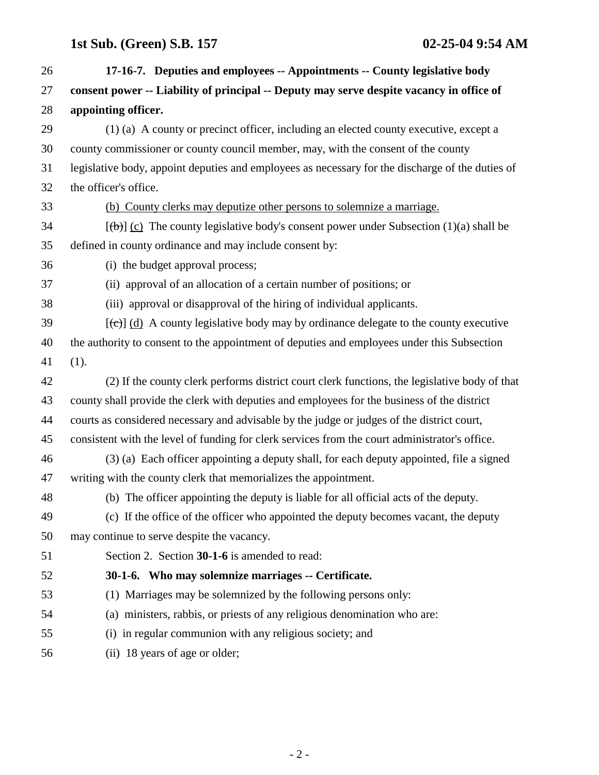| 26 | 17-16-7. Deputies and employees -- Appointments -- County legislative body                                  |
|----|-------------------------------------------------------------------------------------------------------------|
| 27 | consent power -- Liability of principal -- Deputy may serve despite vacancy in office of                    |
| 28 | appointing officer.                                                                                         |
| 29 | (1) (a) A county or precinct officer, including an elected county executive, except a                       |
| 30 | county commissioner or county council member, may, with the consent of the county                           |
| 31 | legislative body, appoint deputies and employees as necessary for the discharge of the duties of            |
| 32 | the officer's office.                                                                                       |
| 33 | (b) County clerks may deputize other persons to solemnize a marriage.                                       |
| 34 | $[\langle \theta \rangle]$ (c) The county legislative body's consent power under Subsection (1)(a) shall be |
| 35 | defined in county ordinance and may include consent by:                                                     |
| 36 | (i) the budget approval process;                                                                            |
| 37 | (ii) approval of an allocation of a certain number of positions; or                                         |
| 38 | (iii) approval or disapproval of the hiring of individual applicants.                                       |
| 39 | $[\text{(-c)}]$ (d) A county legislative body may by ordinance delegate to the county executive             |
| 40 | the authority to consent to the appointment of deputies and employees under this Subsection                 |
| 41 | (1).                                                                                                        |
| 42 | (2) If the county clerk performs district court clerk functions, the legislative body of that               |
| 43 | county shall provide the clerk with deputies and employees for the business of the district                 |
| 44 | courts as considered necessary and advisable by the judge or judges of the district court,                  |
| 45 | consistent with the level of funding for clerk services from the court administrator's office.              |
| 46 | (3) (a) Each officer appointing a deputy shall, for each deputy appointed, file a signed                    |
| 47 | writing with the county clerk that memorializes the appointment.                                            |
| 48 | (b) The officer appointing the deputy is liable for all official acts of the deputy.                        |
| 49 | (c) If the office of the officer who appointed the deputy becomes vacant, the deputy                        |
| 50 | may continue to serve despite the vacancy.                                                                  |
| 51 | Section 2. Section 30-1-6 is amended to read:                                                               |
| 52 | 30-1-6. Who may solemnize marriages -- Certificate.                                                         |
| 53 | (1) Marriages may be solemnized by the following persons only:                                              |
| 54 | (a) ministers, rabbis, or priests of any religious denomination who are:                                    |
| 55 | (i) in regular communion with any religious society; and                                                    |
| 56 | (ii) 18 years of age or older;                                                                              |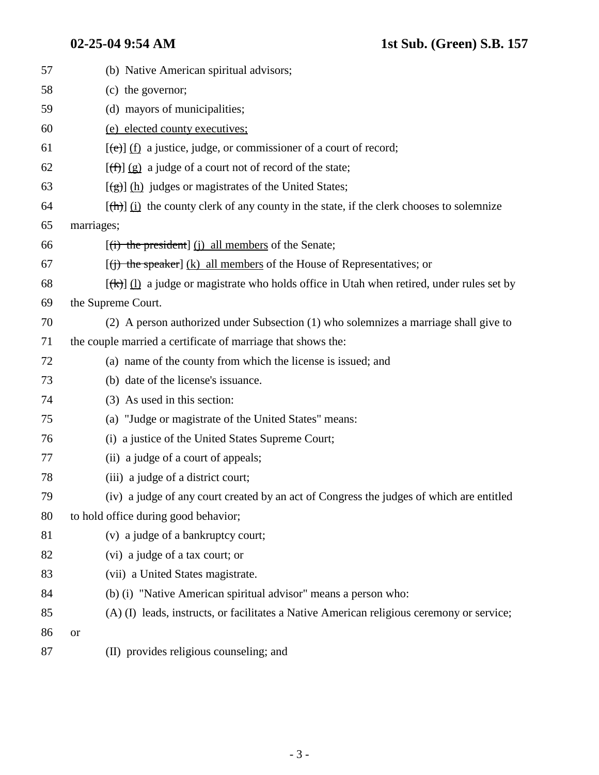| 57 | (b) Native American spiritual advisors;                                                                |
|----|--------------------------------------------------------------------------------------------------------|
| 58 | (c) the governor;                                                                                      |
| 59 | (d) mayors of municipalities;                                                                          |
| 60 | (e) elected county executives;                                                                         |
| 61 | $[\text{e}(\text{e})]$ (f) a justice, judge, or commissioner of a court of record;                     |
| 62 | $[\frac{f(f)}{g}]$ (g) a judge of a court not of record of the state;                                  |
| 63 | $[\frac{1}{2}, \frac{1}{2}]$ (h) judges or magistrates of the United States;                           |
| 64 | $[\frac{h}{\ln}]$ (i) the county clerk of any county in the state, if the clerk chooses to solemnize   |
| 65 | marriages;                                                                                             |
| 66 | [(i) the president] (j) all members of the Senate;                                                     |
| 67 | $[(i)$ the speaker] (k) all members of the House of Representatives; or                                |
| 68 | $[\frac{f(k)}{l}]$ (1) a judge or magistrate who holds office in Utah when retired, under rules set by |
| 69 | the Supreme Court.                                                                                     |
| 70 | (2) A person authorized under Subsection (1) who solemnizes a marriage shall give to                   |
| 71 | the couple married a certificate of marriage that shows the:                                           |
| 72 | (a) name of the county from which the license is issued; and                                           |
| 73 | (b) date of the license's issuance.                                                                    |
| 74 | (3) As used in this section:                                                                           |
| 75 | (a) "Judge or magistrate of the United States" means:                                                  |
| 76 | (i) a justice of the United States Supreme Court;                                                      |
| 77 | (ii) a judge of a court of appeals;                                                                    |
| 78 | (iii) a judge of a district court;                                                                     |
| 79 | (iv) a judge of any court created by an act of Congress the judges of which are entitled               |
| 80 | to hold office during good behavior;                                                                   |
| 81 | (v) a judge of a bankruptcy court;                                                                     |
| 82 | (vi) a judge of a tax court; or                                                                        |
| 83 | (vii) a United States magistrate.                                                                      |
| 84 | (b) (i) "Native American spiritual advisor" means a person who:                                        |
| 85 | (A) (I) leads, instructs, or facilitates a Native American religious ceremony or service;              |
| 86 | <b>or</b>                                                                                              |
| 87 | (II) provides religious counseling; and                                                                |